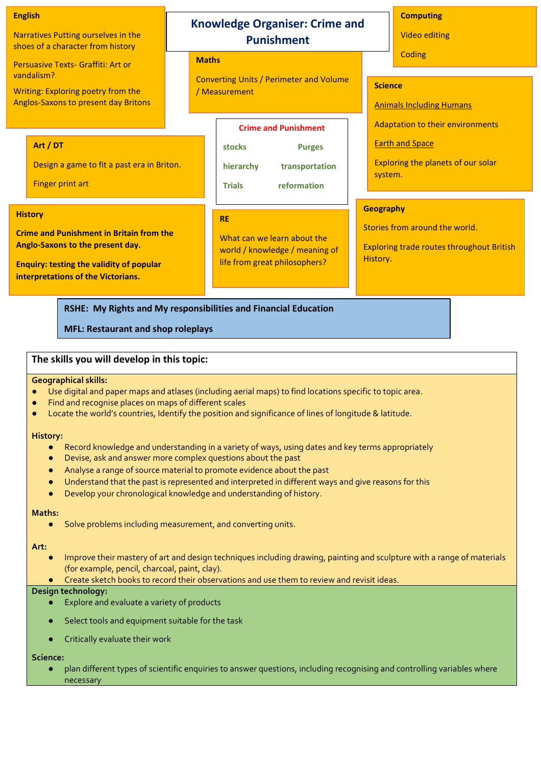#### **English**

Narratives Putting ourselves in the shoes of a character from history

Persuasive Texts- Graffiti: Art or vandalism?

Writing: Exploring poetry from the Anglos-Saxons to present day Britons

### **Art / DT**

Design a game to fit a past era in Briton.

Finger print art

# **History**

**Crime and Punishment in Britain from the Anglo-Saxons to the present day.**

**Enquiry: testing the validity of popular interpretations of the Victorians.**

**RSHE: My Rights and My responsibilities and Financial Education** 

**MFL: Restaurant and shop roleplays** 

# **The skills you will develop in this topic: and feelingsPE: Music: Exploring music in terms of mood**

#### **Geographical skills:**

- Use digital and paper maps and atlases (including aerial maps) to find locations specific to topic area.
- Find and recognise places on maps of different scales
- Locate the world's countries, Identify the position and significance of lines of longitude & latitude.

#### **History:**

- Record knowledge and understanding in a variety of ways, using dates and key terms appropriately
- Devise, ask and answer more complex questions about the past
- Analyse a range of source material to promote evidence about the past
- Understand that the past is represented and interpreted in different ways and give reasons for this
- Develop your chronological knowledge and understanding of history.

## **Maths:**

Solve problems including measurement, and converting units.

#### **Art:**

- Improve their mastery of art and design techniques including drawing, painting and sculpture with a range of materials (for example, pencil, charcoal, paint, clay).
- Create sketch books to record their observations and use them to review and revisit ideas.

# **Design technology:**

- Explore and evaluate a variety of products
- Select tools and equipment suitable for the task
- Critically evaluate their work

# **Science:**

plan different types of scientific enquiries to answer questions, including recognising and controlling variables where necessary

# **Knowledge Organiser: Crime and Punishment**

# **Maths**

Converting Units / Perimeter and Volume / Measurement

| <b>Crime and Punishment</b> |                |
|-----------------------------|----------------|
| stocks                      | <b>Purges</b>  |
| hierarchy                   | transportation |
| <b>Trials</b>               | reformation    |

## **RE**

What can we learn about the world / knowledge / meaning of life from great philosophers?

**Computing**  Video editing

**Coding** 

# **Science**

Animals Including Humans

Adaptation to their environments

**Earth and Space** 

Exploring the planets of our solar system.

### **Geography**

Stories from around the world.

Exploring trade routes throughout British History.